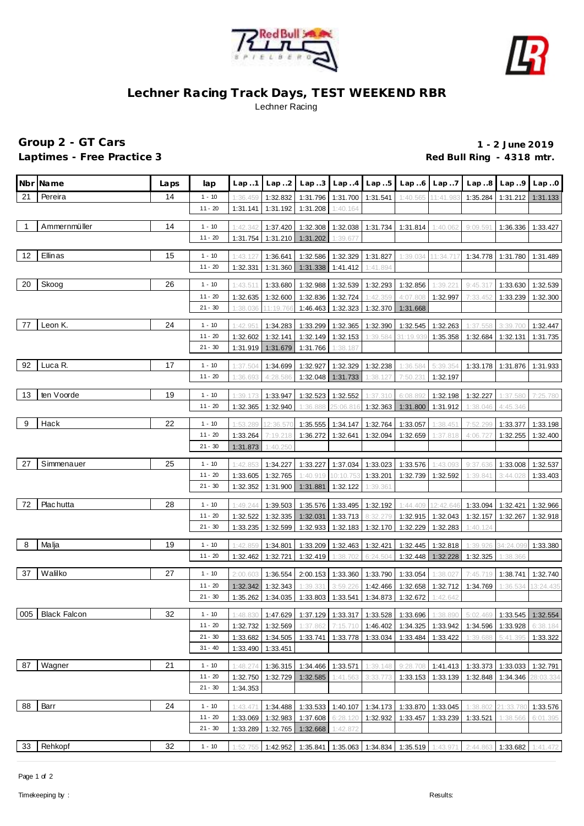



## **Lechner Racing Track Days, TEST WEEKEND RBR** Lechner Racing

## **Group 2 - GT Cars 1 - 2 June 2019** Laptimes - Free Practice 3 **All application** 2 **Red Bull Ring - 4318 mtr.**

|                | Nbr Name         | Laps | lap                    | Lap.1                | Lap.2                | Lap.3                |                                     | $Lap. .4$ $Lap. .5$  | Lap.6                                                           | Lap.7                | Lap.8                                                                                                                           | Lap.9                        | Lap.0                 |
|----------------|------------------|------|------------------------|----------------------|----------------------|----------------------|-------------------------------------|----------------------|-----------------------------------------------------------------|----------------------|---------------------------------------------------------------------------------------------------------------------------------|------------------------------|-----------------------|
| 21             | Pereira          | 14   | $1 - 10$               | 1:36.459             | 1:32.832             |                      | 1:31.796 1:31.700 1:31.541          |                      | 1:40.565                                                        | 11:41.983            | 1:35.284                                                                                                                        | 1:31.212                     | 1:31.133              |
|                |                  |      | $11 - 20$              | 1:31.141             | 1:31.192             | 1:31.208             | 1:40.164                            |                      |                                                                 |                      |                                                                                                                                 |                              |                       |
|                |                  |      |                        |                      |                      |                      |                                     |                      |                                                                 |                      |                                                                                                                                 |                              |                       |
| $\overline{1}$ | Ammernmüller     | 14   | $1 - 10$               | 1:42.342             | 1:37.420             |                      | 1:32.308 1:32.038 1:31.734          |                      | 1:31.814                                                        | 1:40.062             | 9:09.591                                                                                                                        | 1:36.336                     | 1:33.427              |
|                |                  |      | 11 - 20                | 1:31.754             | 1:31.210             | 1:31.202             | 1:39.677                            |                      |                                                                 |                      |                                                                                                                                 |                              |                       |
| 12             | Ellinas          | 15   | $1 - 10$               | 1:43.127             | 1:36.641             | 1:32.586             |                                     | 1:32.329 1:31.827    | 1:39.034                                                        | 11:34.717            | 1:34.778                                                                                                                        | 1:31.780                     | 1:31.489              |
|                |                  |      | $11 - 20$              | 1:32.331             | 1:31.360             | 1:31.338             | 1:41.412                            | 1:41.894             |                                                                 |                      |                                                                                                                                 |                              |                       |
|                |                  |      |                        |                      |                      |                      |                                     |                      |                                                                 |                      |                                                                                                                                 |                              |                       |
| 20             | Skoog            | 26   | $1 - 10$               | 1:43.511             | 1:33.680             | 1:32.988             | 1:32.539                            | 1:32.293             | 1:32.856                                                        | 1:39.22              | 9:45.317                                                                                                                        | 1:33.630                     | 1:32.539              |
|                |                  |      | $11 - 20$              | 1:32.635             | 1:32.600             | 1:32.836             | 1:32.724                            | 1:42.359             | 4:07.808                                                        | 1:32.997             | 7:33.452                                                                                                                        | 1:33.239                     | 1:32.300              |
|                |                  |      | $21 - 30$              | 1:38.036             | 11:19.766            | 1:46.463             | 1:32.323                            | 1:32.370             | 1:31.668                                                        |                      |                                                                                                                                 |                              |                       |
| 77             | Leon K.          | 24   | $1 - 10$               | 1:42.95              | 1:34.283             | 1:33.299             | 1:32.365                            | 1:32.390             | 1:32.545                                                        | 1:32.263             | 1:37.558                                                                                                                        | 3:39.70                      | 1:32.447              |
|                |                  |      | $11 - 20$              | 1:32.602             | 1:32.141             | 1:32.149             | 1:32.153                            | 1:39.584             | 31:19.93                                                        | 1:35.358             | 1:32.684                                                                                                                        | 1:32.131                     | 1:31.735              |
|                |                  |      | $21 - 30$              | 1:31.919             | 1:31.679             | 1:31.766             | 1:38.187                            |                      |                                                                 |                      |                                                                                                                                 |                              |                       |
|                |                  |      |                        |                      |                      |                      |                                     |                      |                                                                 |                      |                                                                                                                                 |                              |                       |
| 92             | Luca R.          | 17   | $1 - 10$               | 1:37.504             | 1:34.699             | 1:32.927             | 1:32.329                            | 1:32.238             | 1:36.584                                                        | 5:39.354             | 1:33.178                                                                                                                        | 1:31.876                     | 1:31.933              |
|                |                  |      | $11 - 20$              | 1:36.693             | 4:28.586             |                      | 1:32.048 1:31.733                   | 1:38.127             | 7:50.231                                                        | 1:32.197             |                                                                                                                                 |                              |                       |
| 13             | ten Voorde       | 19   | $1 - 10$               | 1:39.17              | 1:33.947             | 1:32.523             | 1:32.552                            | 1:37.310             | 6:08.89                                                         | 1:32.198             | 1:32.227                                                                                                                        | 1:37.580                     | 7:25.780              |
|                |                  |      | $11 - 20$              | 1:32.365             | 1:32.940             | 1:36.888             | 25:06.816                           | 1:32.363             | 1:31.800                                                        | 1:31.912             | 1:38.046                                                                                                                        | 4:45.346                     |                       |
|                |                  |      |                        |                      |                      |                      |                                     |                      |                                                                 |                      |                                                                                                                                 |                              |                       |
| 9              | Hack             | 22   | $1 - 10$               | 1:53.289             | 12:36.570            | 1:35.555             | 1:34.147                            | 1:32.764             | 1:33.057                                                        | 1:38.45              | 7:52.299                                                                                                                        | 1:33.377                     | 1:33.198              |
|                |                  |      | $11 - 20$              | 1:33.264             | 7:19.218             | 1:36.272             |                                     | 1:32.641 1:32.094    | 1:32.659                                                        | 1:37.818             | 4:06.727                                                                                                                        | 1:32.255                     | 1:32.400              |
|                |                  |      | $21 - 30$              | 1:31.873             | 1:40.250             |                      |                                     |                      |                                                                 |                      |                                                                                                                                 |                              |                       |
| 27             | Simmenauer       | 25   | $1 - 10$               | 1:42.853             | 1:34.227             | 1:33.227             | 1:37.034                            | 1:33.023             | 1:33.576                                                        | 1:43.093             | 9:37.636                                                                                                                        | 1:33.008                     | 1:32.537              |
|                |                  |      | $11 - 20$              | 1:33.605             | 1:32.765             | 1:40.919             | 10:10.75                            | 1:33.201             | 1:32.739                                                        | 1:32.592             | 1:39.841                                                                                                                        | 3:44.028                     | 1:33.403              |
|                |                  |      | $21 - 30$              | 1:32.352             | 1:31.900             | 1:31.881             | 1:32.122                            | 1:39.361             |                                                                 |                      |                                                                                                                                 |                              |                       |
|                |                  |      |                        |                      |                      |                      |                                     |                      |                                                                 |                      |                                                                                                                                 |                              |                       |
| 72             | Plac hutta       | 28   | $1 - 10$               | 1:49.244             | 1:39.503             | 1:35.576             | 1:33.495                            | 1:32.192             | 1:44.409                                                        | 12:42.646            | 1:33.094                                                                                                                        | 1:32.421                     | 1:32.966              |
|                |                  |      | $11 - 20$<br>$21 - 30$ | 1:32.522             | 1:32.335             | 1:32.031             | 1:33.713                            | 8:32.279             | 1:32.915                                                        | 1:32.043             | 1:32.157                                                                                                                        | 1:32.267                     | 1:32.918              |
|                |                  |      |                        | 1:33.235             | 1:32.599             | 1:32.933             |                                     | 1:32.183 1:32.170    | 1:32.229                                                        | 1:32.283             | 1:40.124                                                                                                                        |                              |                       |
| 8              | Malja            | 19   | $1 - 10$               | 1:42.859             | 1:34.801             | 1:33.209             | 1:32.463                            | 1:32.421             | 1:32.445                                                        | 1:32.818             | 1:39.926                                                                                                                        | 34:24.099                    | 1:33.380              |
|                |                  |      | $11 - 20$              | 1:32.462             | 1:32.721             | 1:32.419             | 1:38.702                            | 6:24.504             | 1:32.448                                                        | 1:32.228             | 1:32.325                                                                                                                        | 1:38.366                     |                       |
| 37             | Walilko          | 27   | $1 - 10$               |                      |                      |                      |                                     |                      |                                                                 |                      |                                                                                                                                 |                              |                       |
|                |                  |      | $11 - 20$              | 2:00.603<br>1:32.342 | 1:36.554<br>1:32.343 | 2:00.153<br>1:39.33' | 1:33.360<br>3:59.226                | 1:33.790<br>1:42.466 | 1:33.054<br>1:32.658                                            | 1:38.027<br>1:32.712 | 7:45.719<br>1:34.769                                                                                                            | 1:38.741<br>1:36.534         | 1:32.740<br>13:24.435 |
|                |                  |      | $21 - 30$              | 1:35.262             | 1:34.035             | 1:33.803             | 1:33.541                            | 1:34.873             | 1:32.672                                                        | 1:42.642             |                                                                                                                                 |                              |                       |
|                |                  |      |                        |                      |                      |                      |                                     |                      |                                                                 |                      |                                                                                                                                 |                              |                       |
|                | 005 Black Falcon | 32   | 1 - 10                 |                      |                      |                      |                                     |                      | 1:48.830 1:47.629 1:37.129 1:33.317 1:33.528 1:33.696           | 1:38.890             |                                                                                                                                 | 5:02.469  1:33.545  1:32.554 |                       |
|                |                  |      | $11 - 20$              |                      |                      |                      |                                     |                      |                                                                 |                      | 1:32.732 1:32.569 1:37.862 7:15.710 1:46.402 1:34.325 1:33.942 1:34.596 1:33.928                                                |                              | 6:38.184              |
|                |                  |      | $21 - 30$              | 1:33.682             | 1:34.505             |                      |                                     |                      | 1:33.741   1:33.778   1:33.034   1:33.484   1:33.422            |                      | 1:39.688                                                                                                                        | 5:41.395                     | 1:33.322              |
|                |                  |      | $31 - 40$              |                      | 1:33.490 1:33.451    |                      |                                     |                      |                                                                 |                      |                                                                                                                                 |                              |                       |
| 87             | Wagner           | 21   | $1 - 10$               | 1:48.274             |                      |                      | 1:36.315 1:34.466 1:33.571 1:39.148 |                      |                                                                 |                      | $9:28.708$ 1:41.413 1:33.373 1:33.033                                                                                           |                              | 1:32.791              |
|                |                  |      | $11 - 20$              | 1:32.750             |                      |                      |                                     |                      |                                                                 |                      | $\mid$ 1:32.729 $\mid$ 1:32.585 $\mid$ 1:41.563 $\mid$ 3:33.773 $\mid$ 1:33.153 $\mid$ 1:33.139 $\mid$ 1:32.848 $\mid$ 1:34.346 |                              | 28:03.334             |
|                |                  |      | $21 - 30$              | 1:34.353             |                      |                      |                                     |                      |                                                                 |                      |                                                                                                                                 |                              |                       |
|                |                  |      |                        |                      |                      |                      |                                     |                      |                                                                 |                      |                                                                                                                                 |                              |                       |
| 88             | Barr             | 24   | $1 - 10$               | 1:43.471             |                      |                      |                                     |                      | 1:34.488 1:33.533 1:40.107 1:34.173 1:33.870 1:33.045 1:38.802  |                      |                                                                                                                                 | 21:33.780                    | 1:33.576              |
|                |                  |      | $11 - 20$              | 1:33.069             | 1:32.983             |                      |                                     |                      | 1:37.608 6:28.120 1:32.932 1:33.457 1:33.239 1:33.521           |                      |                                                                                                                                 | 1:38.566                     | 6:01.395              |
|                |                  |      | $21 - 30$              | 1:33.289             | 1:32.765             | 1:32.668             | 1:42.872                            |                      |                                                                 |                      |                                                                                                                                 |                              |                       |
| 33             | Rehkopf          | 32   | $1 - 10$               | 1:52.755             | 1:42.952             |                      |                                     |                      | 1:35.841   1:35.063   1:34.834   1:35.519   1:43.971   2:44.863 |                      |                                                                                                                                 | 1:33.682                     | 1:41.472              |
|                |                  |      |                        |                      |                      |                      |                                     |                      |                                                                 |                      |                                                                                                                                 |                              |                       |

Page 1 of 2